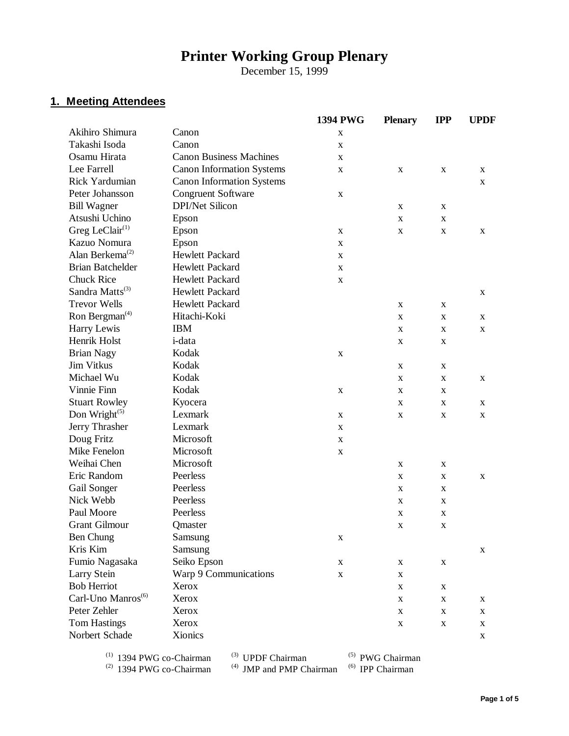# **Printer Working Group Plenary**

December 15, 1999

## **1. Meeting Attendees**

|                                |                                  | 1394 PWG    | <b>Plenary</b> | <b>IPP</b>  | <b>UPDF</b> |
|--------------------------------|----------------------------------|-------------|----------------|-------------|-------------|
| Akihiro Shimura                | Canon                            | X           |                |             |             |
| Takashi Isoda                  | Canon                            | $\mathbf X$ |                |             |             |
| Osamu Hirata                   | <b>Canon Business Machines</b>   | X           |                |             |             |
| Lee Farrell                    | <b>Canon Information Systems</b> | $\mathbf X$ | X              | X           | X           |
| <b>Rick Yardumian</b>          | <b>Canon Information Systems</b> |             |                |             | X           |
| Peter Johansson                | Congruent Software               | $\mathbf X$ |                |             |             |
| <b>Bill Wagner</b>             | <b>DPI/Net Silicon</b>           |             | X              | X           |             |
| Atsushi Uchino                 | Epson                            |             | X              | X           |             |
| Greg LeClair $(1)$             | Epson                            | X           | X              | X           | X           |
| Kazuo Nomura                   | Epson                            | $\mathbf X$ |                |             |             |
| Alan Berkema <sup>(2)</sup>    | <b>Hewlett Packard</b>           | X           |                |             |             |
| <b>Brian Batchelder</b>        | <b>Hewlett Packard</b>           | $\mathbf X$ |                |             |             |
| <b>Chuck Rice</b>              | <b>Hewlett Packard</b>           | $\mathbf X$ |                |             |             |
| Sandra Matts <sup>(3)</sup>    | <b>Hewlett Packard</b>           |             |                |             | X           |
| <b>Trevor Wells</b>            | <b>Hewlett Packard</b>           |             | $\mathbf X$    | X           |             |
| Ron Bergman <sup>(4)</sup>     | Hitachi-Koki                     |             | $\mathbf X$    | X           | $\mathbf X$ |
| Harry Lewis                    | <b>IBM</b>                       |             | X              | $\mathbf X$ | X           |
| Henrik Holst                   | i-data                           |             | X              | X           |             |
| <b>Brian Nagy</b>              | Kodak                            | $\mathbf X$ |                |             |             |
| <b>Jim Vitkus</b>              | Kodak                            |             | $\mathbf X$    | X           |             |
| Michael Wu                     | Kodak                            |             | X              | X           | $\mathbf X$ |
| Vinnie Finn                    | Kodak                            | $\mathbf X$ | X              | X           |             |
| <b>Stuart Rowley</b>           | Kyocera                          |             | X              | X           | X           |
| Don Wright $(5)$               | Lexmark                          | $\mathbf X$ | X              | X           | X           |
| Jerry Thrasher                 | Lexmark                          | X           |                |             |             |
| Doug Fritz                     | Microsoft                        | X           |                |             |             |
| Mike Fenelon                   | Microsoft                        | $\mathbf X$ |                |             |             |
| Weihai Chen                    | Microsoft                        |             | $\mathbf X$    | X           |             |
| Eric Random                    | Peerless                         |             | X              | X           | X           |
| Gail Songer                    | Peerless                         |             | $\mathbf X$    | X           |             |
| Nick Webb                      | Peerless                         |             | $\mathbf X$    | X           |             |
| Paul Moore                     | Peerless                         |             | X              | X           |             |
| <b>Grant Gilmour</b>           | Qmaster                          |             | $\mathbf X$    | $\mathbf X$ |             |
| Ben Chung                      | Samsung                          | X           |                |             |             |
| Kris Kim                       | Samsung                          |             |                |             | X           |
| Fumio Nagasaka                 | Seiko Epson                      | $\mathbf X$ | $\mathbf X$    | $\mathbf X$ |             |
| Larry Stein                    | Warp 9 Communications            | $\mathbf X$ | X              |             |             |
| <b>Bob Herriot</b>             | Xerox                            |             | $\mathbf X$    | X           |             |
| Carl-Uno Manros <sup>(6)</sup> | Xerox                            |             | X              | $\mathbf X$ | X           |
| Peter Zehler                   | Xerox                            |             | X              | $\mathbf X$ | X           |
| <b>Tom Hastings</b>            | Xerox                            |             | $\mathbf X$    | $\mathbf X$ | $\mathbf X$ |
| Norbert Schade                 | Xionics                          |             |                |             | X           |
|                                |                                  |             |                |             |             |

 $^{(1)}$  1394 PWG co-Chairman  $^{(3)}$  UPDF Chairman  $^{(5)}$  PWG Chairman

 $^{(2)}$  1394 PWG co-Chairman  $^{(4)}$  JMP and PMP Chairman  $^{(6)}$  IPP Chairman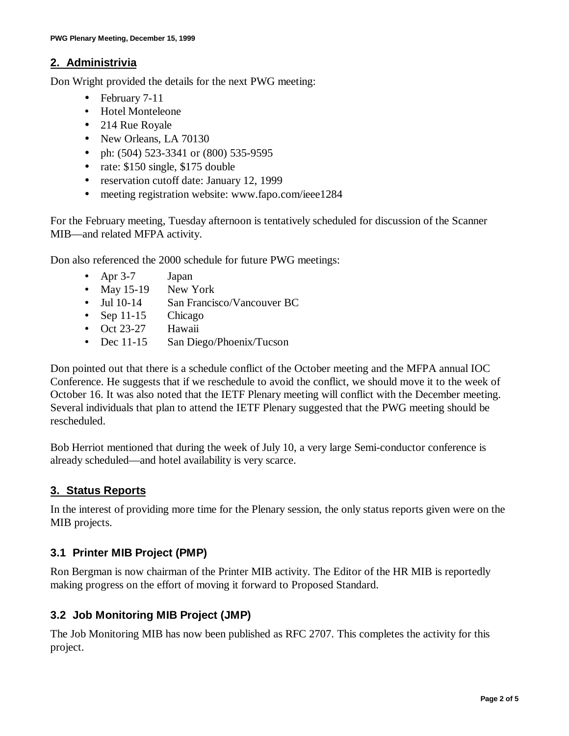#### **2. Administrivia**

Don Wright provided the details for the next PWG meeting:

- February 7-11
- Hotel Monteleone
- 214 Rue Royale
- New Orleans, LA 70130
- ph: (504) 523-3341 or (800) 535-9595
- rate: \$150 single, \$175 double
- reservation cutoff date: January 12, 1999
- meeting registration website: www.fapo.com/ieee1284

For the February meeting, Tuesday afternoon is tentatively scheduled for discussion of the Scanner MIB—and related MFPA activity.

Don also referenced the 2000 schedule for future PWG meetings:

- Apr 3-7 Japan
- May 15-19 New York
- Jul 10-14 San Francisco/Vancouver BC
- Sep 11-15 Chicago
- Oct 23-27 Hawaii
- Dec 11-15 San Diego/Phoenix/Tucson

Don pointed out that there is a schedule conflict of the October meeting and the MFPA annual IOC Conference. He suggests that if we reschedule to avoid the conflict, we should move it to the week of October 16. It was also noted that the IETF Plenary meeting will conflict with the December meeting. Several individuals that plan to attend the IETF Plenary suggested that the PWG meeting should be rescheduled.

Bob Herriot mentioned that during the week of July 10, a very large Semi-conductor conference is already scheduled— and hotel availability is very scarce.

## **3. Status Reports**

In the interest of providing more time for the Plenary session, the only status reports given were on the MIB projects.

## **3.1 Printer MIB Project (PMP)**

Ron Bergman is now chairman of the Printer MIB activity. The Editor of the HR MIB is reportedly making progress on the effort of moving it forward to Proposed Standard.

## **3.2 Job Monitoring MIB Project (JMP)**

The Job Monitoring MIB has now been published as RFC 2707. This completes the activity for this project.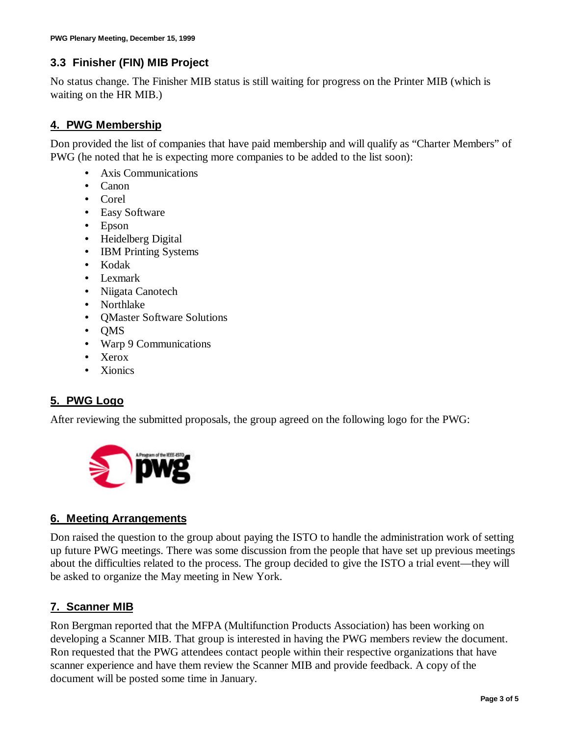#### **3.3 Finisher (FIN) MIB Project**

No status change. The Finisher MIB status is still waiting for progress on the Printer MIB (which is waiting on the HR MIB.)

#### **4. PWG Membership**

Don provided the list of companies that have paid membership and will qualify as "Charter Members" of PWG (he noted that he is expecting more companies to be added to the list soon):

- Axis Communications
- Canon
- Corel
- Easy Software
- Epson
- Heidelberg Digital
- **IBM Printing Systems**
- Kodak
- Lexmark
- Niigata Canotech
- Northlake
- QMaster Software Solutions
- QMS
- Warp 9 Communications
- Xerox
- Xionics

## **5. PWG Logo**

After reviewing the submitted proposals, the group agreed on the following logo for the PWG:



#### **6. Meeting Arrangements**

Don raised the question to the group about paying the ISTO to handle the administration work of setting up future PWG meetings. There was some discussion from the people that have set up previous meetings about the difficulties related to the process. The group decided to give the ISTO a trial event— they will be asked to organize the May meeting in New York.

#### **7. Scanner MIB**

Ron Bergman reported that the MFPA (Multifunction Products Association) has been working on developing a Scanner MIB. That group is interested in having the PWG members review the document. Ron requested that the PWG attendees contact people within their respective organizations that have scanner experience and have them review the Scanner MIB and provide feedback. A copy of the document will be posted some time in January.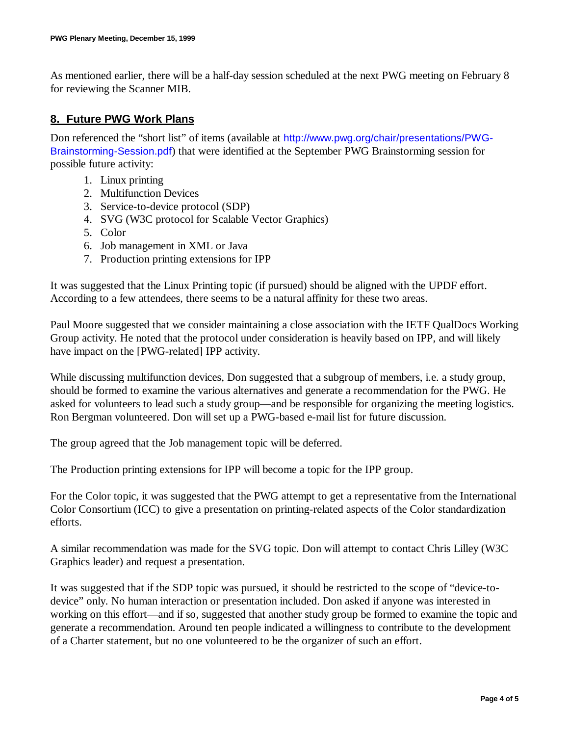As mentioned earlier, there will be a half-day session scheduled at the next PWG meeting on February 8 for reviewing the Scanner MIB.

#### **8. Future PWG Work Plans**

Don referenced the "short list" of items (available at http://www.pwg.org/chair/presentations/PWG-Brainstorming-Session.pdf) that were identified at the September PWG Brainstorming session for possible future activity:

- 1. Linux printing
- 2. Multifunction Devices
- 3. Service-to-device protocol (SDP)
- 4. SVG (W3C protocol for Scalable Vector Graphics)
- 5. Color
- 6. Job management in XML or Java
- 7. Production printing extensions for IPP

It was suggested that the Linux Printing topic (if pursued) should be aligned with the UPDF effort. According to a few attendees, there seems to be a natural affinity for these two areas.

Paul Moore suggested that we consider maintaining a close association with the IETF QualDocs Working Group activity. He noted that the protocol under consideration is heavily based on IPP, and will likely have impact on the [PWG-related] IPP activity.

While discussing multifunction devices, Don suggested that a subgroup of members, i.e. a study group, should be formed to examine the various alternatives and generate a recommendation for the PWG. He asked for volunteers to lead such a study group— and be responsible for organizing the meeting logistics. Ron Bergman volunteered. Don will set up a PWG-based e-mail list for future discussion.

The group agreed that the Job management topic will be deferred.

The Production printing extensions for IPP will become a topic for the IPP group.

For the Color topic, it was suggested that the PWG attempt to get a representative from the International Color Consortium (ICC) to give a presentation on printing-related aspects of the Color standardization efforts.

A similar recommendation was made for the SVG topic. Don will attempt to contact Chris Lilley (W3C Graphics leader) and request a presentation.

It was suggested that if the SDP topic was pursued, it should be restricted to the scope of "device-todevice" only. No human interaction or presentation included. Don asked if anyone was interested in working on this effort— and if so, suggested that another study group be formed to examine the topic and generate a recommendation. Around ten people indicated a willingness to contribute to the development of a Charter statement, but no one volunteered to be the organizer of such an effort.